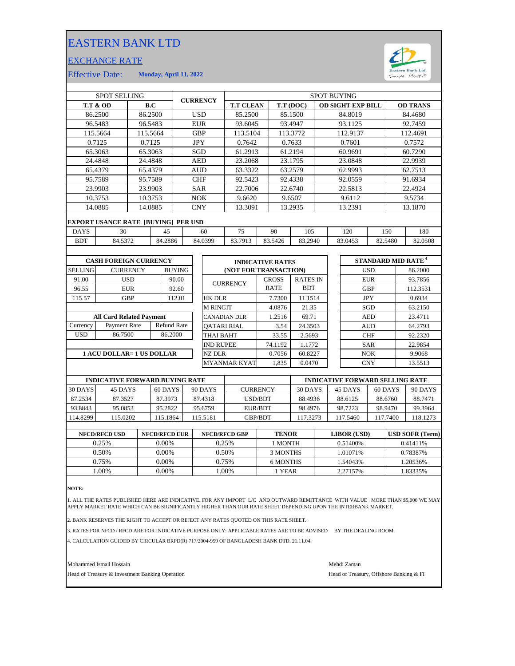## EASTERN BANK LTD

## EXCHANGE RATE



Effective Date: **Monday, April 11, 2022**

| <b>SPOT SELLING</b>               |                                            |            |            |                    | <b>CURRENCY</b> |                    | <b>SPOT BUYING</b>      |                          |                                 |                       |         |                 |            |                                       |            |          |                                |  |
|-----------------------------------|--------------------------------------------|------------|------------|--------------------|-----------------|--------------------|-------------------------|--------------------------|---------------------------------|-----------------------|---------|-----------------|------------|---------------------------------------|------------|----------|--------------------------------|--|
| <b>T.T &amp; OD</b><br>B.C        |                                            |            |            | <b>T.T CLEAN</b>   |                 |                    | T.T (DOC)               | <b>OD SIGHT EXP BILL</b> |                                 |                       |         | <b>OD TRANS</b> |            |                                       |            |          |                                |  |
|                                   | 86.2500                                    | 86.2500    |            |                    | <b>USD</b>      |                    |                         | 85.2500                  |                                 |                       | 85.1500 |                 |            | 84.8019                               |            | 84.4680  |                                |  |
| 96.5483<br>96.5483                |                                            |            | EUR        |                    |                 | 93.6045            |                         |                          | 93.4947                         |                       | 93.1125 |                 |            | 92.7459                               |            |          |                                |  |
| 115.5664<br>115.5664              |                                            |            | <b>GBP</b> |                    | 113.5104        |                    |                         | 113.3772                 |                                 | 112.9137              |         | 112.4691        |            |                                       |            |          |                                |  |
|                                   | 0.7125                                     |            | 0.7125     |                    |                 |                    | <b>JPY</b>              | 0.7642                   |                                 |                       | 0.7633  |                 | 0.7601     |                                       | 0.7572     |          |                                |  |
| 65.3063<br>65.3063                |                                            |            |            |                    | SGD             |                    | 61.2913                 |                          | 61.2194                         |                       | 60.9691 |                 |            | 60.7290                               |            |          |                                |  |
| 24.4848                           |                                            |            | 24.4848    |                    | <b>AED</b>      |                    | 23.2068                 |                          | 23.1795                         |                       |         | 23.0848         |            |                                       | 22.9939    |          |                                |  |
|                                   | 65.4379                                    |            | 65.4379    |                    | <b>AUD</b>      |                    | 63.3322                 |                          |                                 | 63.2579               |         | 62.9993         |            |                                       | 62.7513    |          |                                |  |
|                                   | 95.7589                                    |            | 95.7589    |                    | <b>CHF</b>      |                    | 92.5423                 |                          |                                 | 92.4338               |         | 92.0559         |            |                                       | 91.6934    |          |                                |  |
|                                   | 23.9903                                    |            | 23.9903    |                    |                 | <b>SAR</b>         |                         | 22.7006                  |                                 |                       | 22.6740 |                 |            | 22.5813                               |            | 22.4924  |                                |  |
|                                   | 10.3753                                    | 10.3753    |            |                    | NOK             |                    | 9.6620                  |                          | 9.6507                          |                       | 9.6112  |                 | 9.5734     |                                       |            |          |                                |  |
| 14.0885<br>14.0885                |                                            |            |            |                    | <b>CNY</b>      |                    | 13.3091                 | 13.2935                  |                                 |                       |         | 13.2391         |            | 13.1870                               |            |          |                                |  |
|                                   | <b>EXPORT USANCE RATE [BUYING] PER USD</b> |            |            |                    |                 |                    |                         |                          |                                 |                       |         |                 |            |                                       |            |          |                                |  |
| <b>DAYS</b>                       | 30                                         | 45         |            |                    |                 |                    | 60                      | 75                       | 90                              |                       | 105     |                 |            | 120                                   | 150        |          | 180                            |  |
| <b>BDT</b><br>84.5372             |                                            | 84.2886    |            | 84.0399            |                 | 83.7913            |                         | 83.5426<br>83.2940       |                                 |                       |         | 83.0453         | 82.5480    |                                       | 82.0508    |          |                                |  |
|                                   |                                            |            |            |                    |                 |                    |                         |                          |                                 |                       |         |                 |            |                                       |            |          |                                |  |
| <b>CASH FOREIGN CURRENCY</b>      |                                            |            |            |                    |                 |                    | <b>INDICATIVE RATES</b> |                          |                                 |                       |         |                 |            |                                       |            |          | STANDARD MID RATE <sup>4</sup> |  |
| <b>SELLING</b><br><b>CURRENCY</b> |                                            |            |            | <b>BUYING</b>      |                 |                    |                         |                          |                                 | (NOT FOR TRANSACTION) |         |                 |            |                                       | <b>USD</b> |          | 86.2000                        |  |
| 91.00                             | <b>USD</b>                                 |            | 90.00      |                    |                 |                    |                         |                          | <b>CROSS</b><br><b>RATES IN</b> |                       |         |                 | <b>EUR</b> |                                       |            | 93.7856  |                                |  |
| 96.55                             | <b>EUR</b>                                 |            | 92.60      |                    |                 | <b>CURRENCY</b>    |                         |                          | <b>BDT</b><br><b>RATE</b>       |                       |         |                 | <b>GBP</b> |                                       |            | 112.3531 |                                |  |
| 115.57                            |                                            | <b>GBP</b> |            | 112.01             |                 |                    | <b>HK DLR</b>           |                          |                                 | 7.7300<br>11.1514     |         |                 |            | <b>JPY</b>                            |            | 0.6934   |                                |  |
|                                   |                                            |            |            |                    |                 |                    | <b>M RINGIT</b>         |                          |                                 | 4.0876                | 21.35   |                 |            | SGD                                   |            | 63.2150  |                                |  |
|                                   | <b>All Card Related Payment</b>            |            |            |                    |                 |                    | <b>CANADIAN DLR</b>     |                          |                                 | 1.2516                |         | 69.71           |            | <b>AED</b>                            |            | 23.4711  |                                |  |
| Currency                          | Payment Rate                               |            |            | <b>Refund Rate</b> |                 | <b>OATARI RIAL</b> |                         |                          |                                 | 3.54                  | 24.3503 |                 |            | <b>AUD</b>                            |            | 64.2793  |                                |  |
| <b>USD</b>                        | 86.7500                                    |            |            | 86.2000            |                 | <b>THAI BAHT</b>   |                         |                          |                                 | 33.55                 | 2.5693  |                 |            |                                       | <b>CHF</b> |          | 92.2320                        |  |
|                                   |                                            |            |            |                    |                 | <b>IND RUPEE</b>   |                         |                          | 74.1192                         | 1.1772                |         |                 |            | <b>SAR</b>                            |            | 22.9854  |                                |  |
|                                   | <b>1 ACU DOLLAR= 1 US DOLLAR</b>           |            |            |                    |                 |                    | NZ DLR                  |                          |                                 | 0.7056                | 60.8227 |                 |            |                                       | <b>NOK</b> |          | 9.9068                         |  |
|                                   |                                            |            |            |                    |                 |                    |                         | <b>MYANMAR KYAT</b>      |                                 | 1.835                 | 0.0470  |                 |            |                                       | <b>CNY</b> |          | 13.5513                        |  |
|                                   |                                            |            |            |                    |                 |                    |                         |                          |                                 |                       |         |                 |            |                                       |            |          |                                |  |
|                                   | <b>BUBLO LIBROR BODISLADD BUSING DAIRE</b> |            |            |                    |                 |                    |                         |                          |                                 |                       |         |                 |            | <b>IMPORTED BODIVARD CELLING BARR</b> |            |          |                                |  |

|          | <b>INDICATIVE FORWARD BUYING RATE</b> |          |          |                 | <b>INDICATIVE FORWARD SELLING RATE</b> |          |          |          |  |
|----------|---------------------------------------|----------|----------|-----------------|----------------------------------------|----------|----------|----------|--|
| 30 DAYS  | 45 DAYS                               | 60 DAYS  | 90 DAYS  | <b>CURRENCY</b> | 30 DAYS                                | 45 DAYS  | 60 DAYS  | 90 DAYS  |  |
| 87.2534  | 87.3527                               | 87.3973  | 87.4318  | USD/BDT         | 88.4936                                | 88.6125  | 88.6760  | 88.7471  |  |
| 93.8843  | 95.0853                               | 95.2822  | 95.6759  | EUR/BDT         | 98.4976                                | 98.7223  | 98.9470  | 99.3964  |  |
| 114.8299 | 115.0202                              | 115.1864 | 115.5181 | <b>GBP/BDT</b>  | 17.3273                                | 117.5460 | 117.7400 | 118.1273 |  |
|          |                                       |          |          |                 |                                        |          |          |          |  |

| <b>NFCD/RFCD USD</b> | <b>NFCD/RFCD EUR</b> | <b>NFCD/RFCD GBP</b> | <b>TENOR</b> | <b>LIBOR</b> (USD) | <b>USD SOFR (Term)</b> |
|----------------------|----------------------|----------------------|--------------|--------------------|------------------------|
| 0.25%                | $0.00\%$             | 0.25%                | 1 MONTH      | 0.51400\%          | 0.41411\%              |
| 0.50%                | $0.00\%$             | 0.50%                | 3 MONTHS     | 1.01071%           | 0.78387%               |
| 0.75%                | 0.00%                | 0.75%                | 6 MONTHS     | .54043%            | .20536%                |
| .00%                 | 0.00%                | .00%                 | 1 YEAR       | 2.27157%           | 1.83335%               |
|                      |                      |                      |              |                    |                        |

**NOTE:**

1. ALL THE RATES PUBLISHED HERE ARE INDICATIVE. FOR ANY IMPORT L/C AND OUTWARD REMITTANCE WITH VALUE MORE THAN \$5,000 WE MAY<br>APPLY MARKET RATE WHICH CAN BE SIGNIFICANTLY HIGHER THAN OUR RATE SHEET DEPENDING UPON THE IN

2. BANK RESERVES THE RIGHT TO ACCEPT OR REJECT ANY RATES QUOTED ON THIS RATE SHEET.

3. RATES FOR NFCD / RFCD ARE FOR INDICATIVE PURPOSE ONLY: APPLICABLE RATES ARE TO BE ADVISED BY THE DEALING ROOM.

4. CALCULATION GUIDED BY CIRCULAR BRPD(R) 717/2004-959 OF BANGLADESH BANK DTD. 21.11.04.

Mohammed Ismail Hossain Mehdi Zaman

Head of Treasury & Investment Banking Operation **Head of Treasury, Offshore Banking & FI**